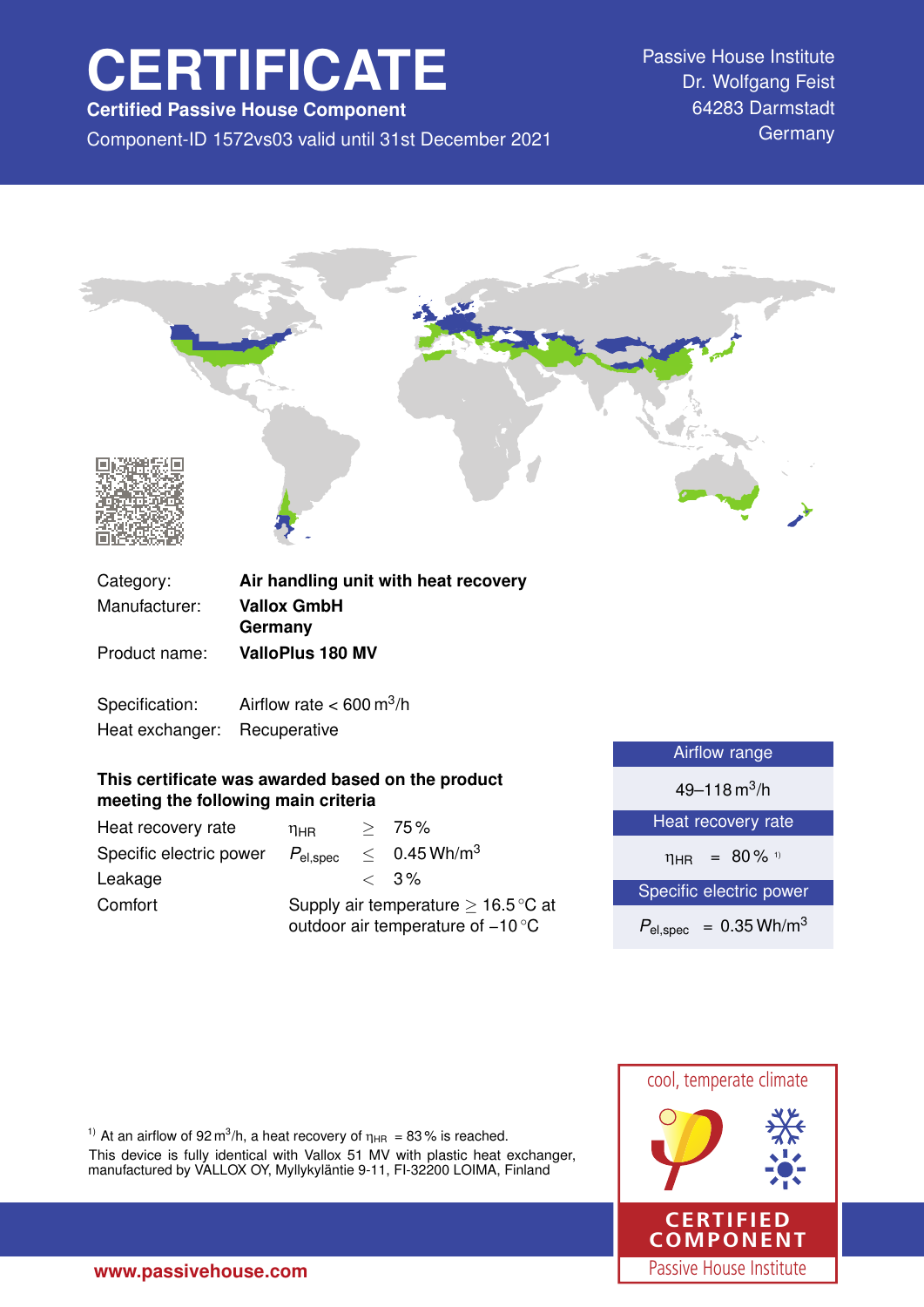# **CERTIFICATE**

**Certified Passive House Component**

Component-ID 1572vs03 valid until 31st December 2021 Germany

Passive House Institute Dr. Wolfgang Feist 64283 Darmstadt



| Category:      | Air nandling unit with heat recovery      |
|----------------|-------------------------------------------|
| Manufacturer:  | <b>Vallox GmbH</b>                        |
|                | Germany                                   |
| Product name:  | <b>ValloPlus 180 MV</b>                   |
|                |                                           |
| Specification: | Airflow rate $< 600 \text{ m}^3/\text{h}$ |

Heat exchanger: Recuperative

### **This certificate was awarded based on the product meeting the following main criteria**

| Heat recovery rate      | ηнв                                                                                           |  | > 75%                      |
|-------------------------|-----------------------------------------------------------------------------------------------|--|----------------------------|
| Specific electric power | $P_{\mathsf{el,spec}}$                                                                        |  | $< 0.45$ Wh/m <sup>3</sup> |
| Leakage                 |                                                                                               |  | $\langle 3\%$              |
| Comfort                 | Supply air temperature $\geq 16.5^{\circ}$ C at<br>outdoor air temperature of $-10^{\circ}$ C |  |                            |

| <b>Airflow</b> range                   |  |  |
|----------------------------------------|--|--|
| 49–118 m <sup>3</sup> /h               |  |  |
| Heat recovery rate                     |  |  |
| $\eta_{HR}$ = 80% <sup>1)</sup>        |  |  |
| Specific electric power                |  |  |
| $P_{el,spec}$ = 0.35 Wh/m <sup>3</sup> |  |  |
|                                        |  |  |



<sup>1)</sup> At an airflow of 92 m<sup>3</sup>/h, a heat recovery of  $\eta_{HR} = 83\%$  is reached.

This device is fully identical with Vallox 51 MV with plastic heat exchanger, manufactured by VALLOX OY, Myllykyläntie 9-11, FI-32200 LOIMA, Finland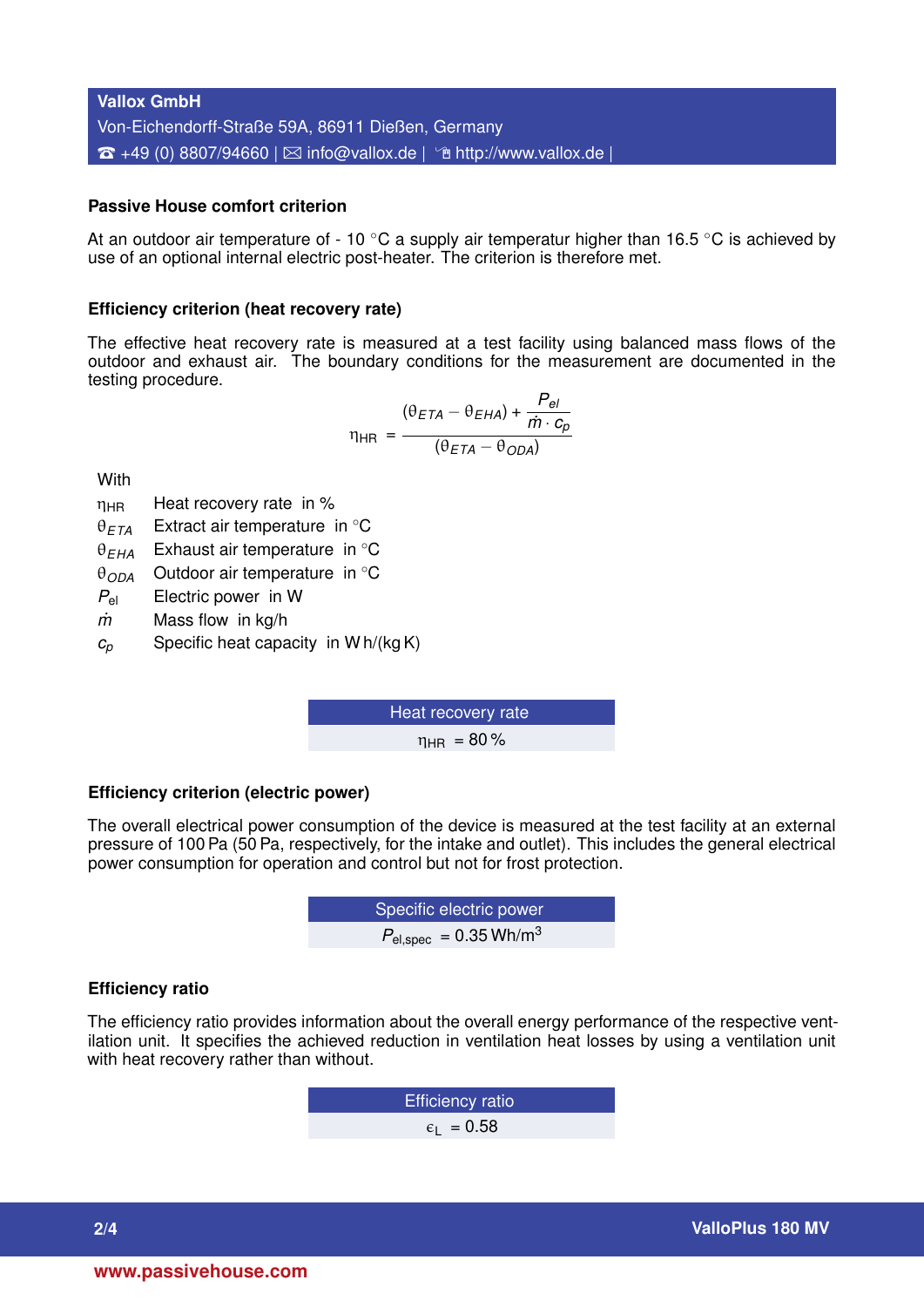## **Vallox GmbH** Von-Eichendorff-Straße 59A, 86911 Dießen, Germany  $\hat{z}$  +49 (0) 8807/94660 |  $\boxtimes$  [info@vallox.de](mailto:info@vallox.de) |  $\hat{z}$  <http://www.vallox.de> |

#### **Passive House comfort criterion**

At an outdoor air temperature of - 10  $\degree$ C a supply air temperatur higher than 16.5  $\degree$ C is achieved by use of an optional internal electric post-heater. The criterion is therefore met.

#### **Efficiency criterion (heat recovery rate)**

The effective heat recovery rate is measured at a test facility using balanced mass flows of the outdoor and exhaust air. The boundary conditions for the measurement are documented in the testing procedure.

$$
\eta_{HR} = \frac{(\theta_{ETA} - \theta_{EHA}) + \frac{P_{el}}{\dot{m} \cdot c_p}}{(\theta_{ETA} - \theta_{ODA})}
$$

**With** 

- $\eta_{HR}$  Heat recovery rate in %
- θ*ETA* Extract air temperature in ◦C
- θ*EHA* Exhaust air temperature in ◦C
- θ*ODA* Outdoor air temperature in ◦C
- *P*el Electric power in W
- *m˙* Mass flow in kg/h
- $c_p$  Specific heat capacity in W h/(kg K)

Heat recovery rate  $n_{\text{HR}} = 80\%$ 

#### **Efficiency criterion (electric power)**

The overall electrical power consumption of the device is measured at the test facility at an external pressure of 100 Pa (50 Pa, respectively, for the intake and outlet). This includes the general electrical power consumption for operation and control but not for frost protection.

**EXECUTE:** Specific electric power  

$$
P_{\text{el,spec}} = 0.35 \text{ Wh/m}^3
$$

#### **Efficiency ratio**

The efficiency ratio provides information about the overall energy performance of the respective ventilation unit. It specifies the achieved reduction in ventilation heat losses by using a ventilation unit with heat recovery rather than without.

> Efficiency ratio  $\epsilon_1$  = 0.58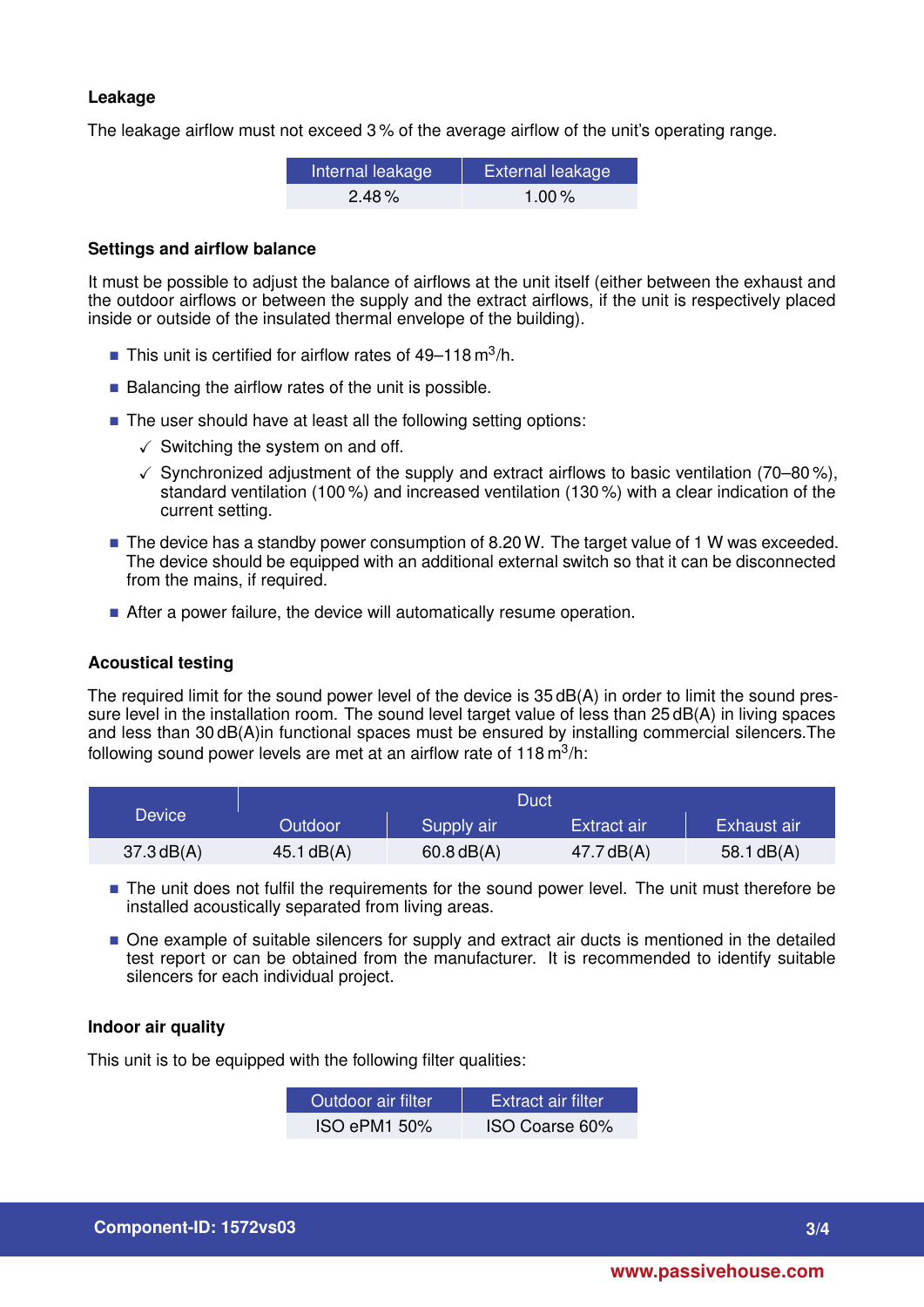#### **Leakage**

The leakage airflow must not exceed 3 % of the average airflow of the unit's operating range.

| Internal leakage | External leakage |  |  |
|------------------|------------------|--|--|
| $2.48\%$         | 1.00 $\%$        |  |  |

#### **Settings and airflow balance**

It must be possible to adjust the balance of airflows at the unit itself (either between the exhaust and the outdoor airflows or between the supply and the extract airflows, if the unit is respectively placed inside or outside of the insulated thermal envelope of the building).

- This unit is certified for airflow rates of  $49-118 \text{ m}^3/\text{h}$ .
- $\blacksquare$  Balancing the airflow rates of the unit is possible.
- The user should have at least all the following setting options:
	- $\checkmark$  Switching the system on and off.
	- $\checkmark$  Synchronized adjustment of the supply and extract airflows to basic ventilation (70–80%), standard ventilation (100 %) and increased ventilation (130 %) with a clear indication of the current setting.
- $\blacksquare$  The device has a standby power consumption of 8.20 W. The target value of 1 W was exceeded. The device should be equipped with an additional external switch so that it can be disconnected from the mains, if required.
- After a power failure, the device will automatically resume operation.

#### **Acoustical testing**

The required limit for the sound power level of the device is 35 dB(A) in order to limit the sound pressure level in the installation room. The sound level target value of less than 25 dB(A) in living spaces and less than 30 dB(A)in functional spaces must be ensured by installing commercial silencers.The following sound power levels are met at an airflow rate of 118 m $^3$ /h:

|              |                | Duct         |              |              |
|--------------|----------------|--------------|--------------|--------------|
| Device       | <b>Outdoor</b> | Supply air   | Extract air  | Exhaust air  |
| $37.3$ dB(A) | 45.1 $dB(A)$   | $60.8$ dB(A) | 47.7 $dB(A)$ | 58.1 $dB(A)$ |

- The unit does not fulfil the requirements for the sound power level. The unit must therefore be installed acoustically separated from living areas.
- $\blacksquare$  One example of suitable silencers for supply and extract air ducts is mentioned in the detailed test report or can be obtained from the manufacturer. It is recommended to identify suitable silencers for each individual project.

#### **Indoor air quality**

This unit is to be equipped with the following filter qualities:

| Outdoor air filter. | <b>Extract air filter</b> |
|---------------------|---------------------------|
| <b>ISO ePM1 50%</b> | ISO Coarse 60%            |